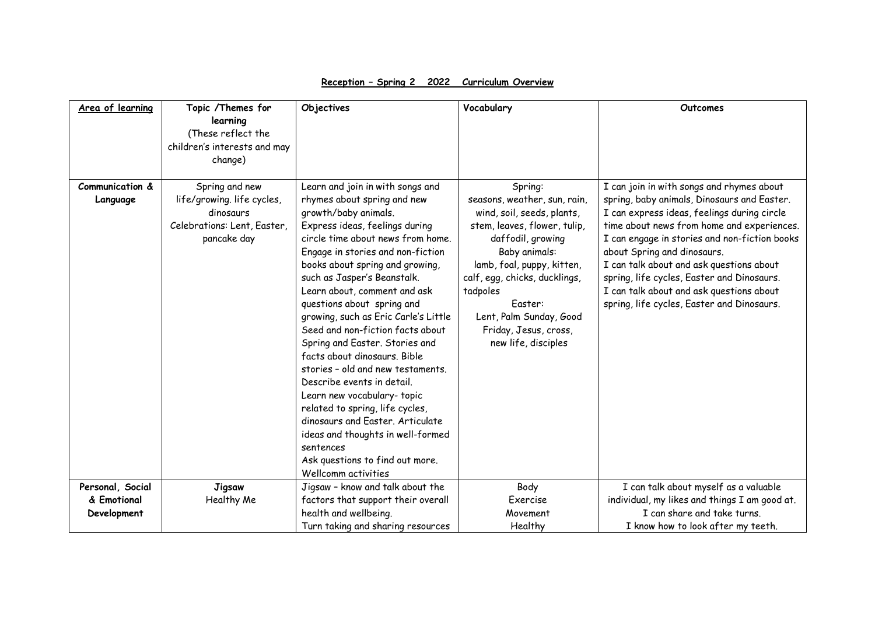| Area of learning | Topic /Themes for            | Objectives                           | Vocabulary                    | Outcomes                                      |
|------------------|------------------------------|--------------------------------------|-------------------------------|-----------------------------------------------|
|                  | learning                     |                                      |                               |                                               |
|                  | (These reflect the           |                                      |                               |                                               |
|                  | children's interests and may |                                      |                               |                                               |
|                  | change)                      |                                      |                               |                                               |
|                  |                              |                                      |                               |                                               |
| Communication &  | Spring and new               | Learn and join in with songs and     | Spring:                       | I can join in with songs and rhymes about     |
| Language         | life/growing. life cycles,   | rhymes about spring and new          | seasons, weather, sun, rain,  | spring, baby animals, Dinosaurs and Easter.   |
|                  | dinosaurs                    | growth/baby animals.                 | wind, soil, seeds, plants,    | I can express ideas, feelings during circle   |
|                  | Celebrations: Lent, Easter,  | Express ideas, feelings during       | stem, leaves, flower, tulip,  | time about news from home and experiences.    |
|                  | pancake day                  | circle time about news from home.    | daffodil, growing             | I can engage in stories and non-fiction books |
|                  |                              | Engage in stories and non-fiction    | Baby animals:                 | about Spring and dinosaurs.                   |
|                  |                              | books about spring and growing,      | lamb, foal, puppy, kitten,    | I can talk about and ask questions about      |
|                  |                              | such as Jasper's Beanstalk.          | calf, egg, chicks, ducklings, | spring, life cycles, Easter and Dinosaurs.    |
|                  |                              | Learn about, comment and ask         | tadpoles                      | I can talk about and ask questions about      |
|                  |                              | questions about spring and           | Faster:                       | spring, life cycles, Easter and Dinosaurs.    |
|                  |                              | growing, such as Eric Carle's Little | Lent, Palm Sunday, Good       |                                               |
|                  |                              | Seed and non-fiction facts about     | Friday, Jesus, cross,         |                                               |
|                  |                              | Spring and Easter. Stories and       | new life, disciples           |                                               |
|                  |                              | facts about dinosaurs. Bible         |                               |                                               |
|                  |                              | stories - old and new testaments.    |                               |                                               |
|                  |                              | Describe events in detail.           |                               |                                               |
|                  |                              | Learn new vocabulary- topic          |                               |                                               |
|                  |                              | related to spring, life cycles,      |                               |                                               |
|                  |                              | dinosaurs and Easter, Articulate     |                               |                                               |
|                  |                              | ideas and thoughts in well-formed    |                               |                                               |
|                  |                              | sentences                            |                               |                                               |
|                  |                              | Ask questions to find out more.      |                               |                                               |
|                  |                              | Wellcomm activities                  |                               |                                               |
| Personal, Social | Jigsaw                       | Jigsaw - know and talk about the     | Body                          | I can talk about myself as a valuable         |
| & Emotional      | Healthy Me                   | factors that support their overall   | Exercise                      | individual, my likes and things I am good at. |
| Development      |                              | health and wellbeing.                | Movement                      | I can share and take turns.                   |
|                  |                              | Turn taking and sharing resources    | Healthy                       | I know how to look after my teeth.            |

**Reception – Spring 2 2022 Curriculum Overview**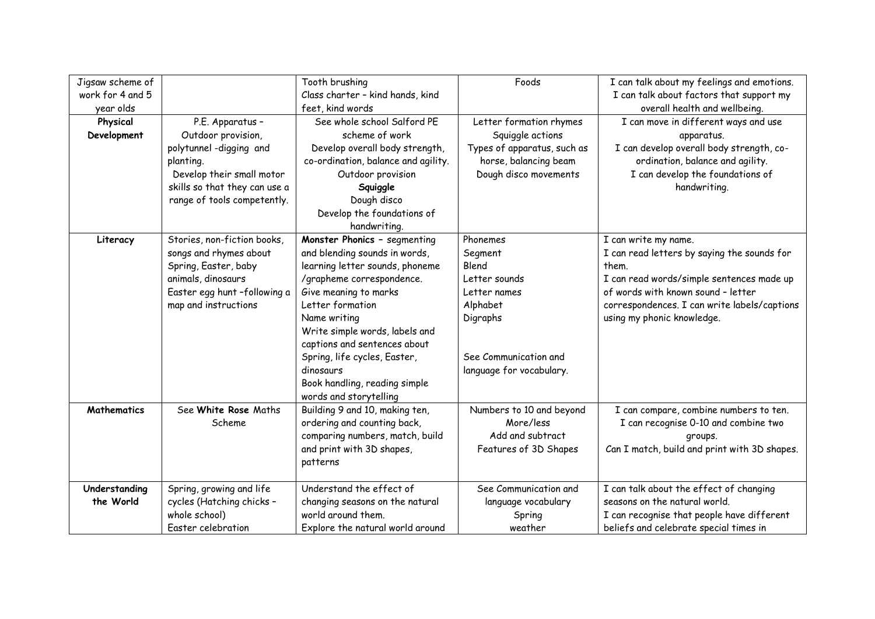| Jigsaw scheme of   |                               | Tooth brushing                      | Foods                       | I can talk about my feelings and emotions.   |
|--------------------|-------------------------------|-------------------------------------|-----------------------------|----------------------------------------------|
| work for 4 and 5   |                               | Class charter - kind hands, kind    |                             | I can talk about factors that support my     |
| year olds          |                               | feet, kind words                    |                             | overall health and wellbeing.                |
| Physical           | P.E. Apparatus -              | See whole school Salford PE         | Letter formation rhymes     | I can move in different ways and use         |
| Development        | Outdoor provision,            | scheme of work                      | Squiggle actions            | apparatus.                                   |
|                    | polytunnel-digging and        | Develop overall body strength,      | Types of apparatus, such as | I can develop overall body strength, co-     |
|                    | planting.                     | co-ordination, balance and agility. | horse, balancing beam       | ordination, balance and agility.             |
|                    | Develop their small motor     | Outdoor provision                   | Dough disco movements       | I can develop the foundations of             |
|                    | skills so that they can use a | Squiggle                            |                             | handwriting.                                 |
|                    | range of tools competently.   | Dough disco                         |                             |                                              |
|                    |                               | Develop the foundations of          |                             |                                              |
|                    |                               | handwriting.                        |                             |                                              |
| Literacy           | Stories, non-fiction books,   | Monster Phonics - segmenting        | Phonemes                    | I can write my name.                         |
|                    | songs and rhymes about        | and blending sounds in words,       | Segment                     | I can read letters by saying the sounds for  |
|                    | Spring, Easter, baby          | learning letter sounds, phoneme     | Blend                       | them.                                        |
|                    | animals, dinosaurs            | /grapheme correspondence.           | Letter sounds               | I can read words/simple sentences made up    |
|                    | Easter egg hunt -following a  | Give meaning to marks               | Letter names                | of words with known sound - letter           |
|                    | map and instructions          | Letter formation                    | Alphabet                    | correspondences. I can write labels/captions |
|                    |                               | Name writing                        | Digraphs                    | using my phonic knowledge.                   |
|                    |                               | Write simple words, labels and      |                             |                                              |
|                    |                               | captions and sentences about        |                             |                                              |
|                    |                               | Spring, life cycles, Easter,        | See Communication and       |                                              |
|                    |                               | dinosaurs                           | language for vocabulary.    |                                              |
|                    |                               | Book handling, reading simple       |                             |                                              |
|                    |                               | words and storytelling              |                             |                                              |
| <b>Mathematics</b> | See White Rose Maths          | Building 9 and 10, making ten,      | Numbers to 10 and beyond    | I can compare, combine numbers to ten.       |
|                    | Scheme                        | ordering and counting back,         | More/less                   | I can recognise 0-10 and combine two         |
|                    |                               | comparing numbers, match, build     | Add and subtract            | groups.                                      |
|                    |                               | and print with 3D shapes,           | Features of 3D Shapes       | Can I match, build and print with 3D shapes. |
|                    |                               | patterns                            |                             |                                              |
| Understanding      | Spring, growing and life      | Understand the effect of            | See Communication and       | I can talk about the effect of changing      |
| the World          | cycles (Hatching chicks -     | changing seasons on the natural     | language vocabulary         | seasons on the natural world.                |
|                    | whole school)                 | world around them.                  | Spring                      | I can recognise that people have different   |
|                    | Easter celebration            | Explore the natural world around    | weather                     | beliefs and celebrate special times in       |